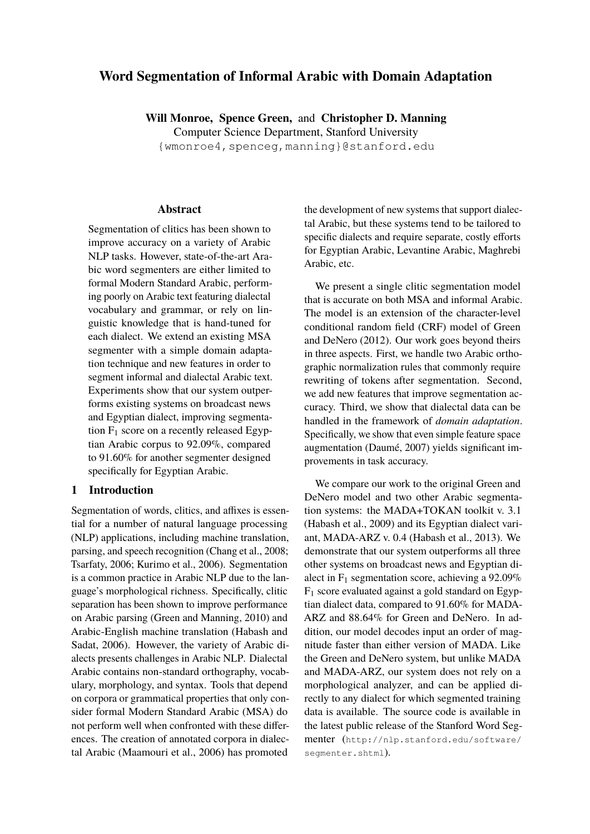# **Word Segmentation of Informal Arabic with Domain Adaptation**

**Will Monroe, Spence Green,** and **Christopher D. Manning** Computer Science Department, Stanford University {wmonroe4,spenceg,manning}@stanford.edu

### **Abstract**

Segmentation of clitics has been shown to improve accuracy on a variety of Arabic NLP tasks. However, state-of-the-art Arabic word segmenters are either limited to formal Modern Standard Arabic, performing poorly on Arabic text featuring dialectal vocabulary and grammar, or rely on linguistic knowledge that is hand-tuned for each dialect. We extend an existing MSA segmenter with a simple domain adaptation technique and new features in order to segment informal and dialectal Arabic text. Experiments show that our system outperforms existing systems on broadcast news and Egyptian dialect, improving segmentation  $F_1$  score on a recently released Egyptian Arabic corpus to 92.09%, compared to 91.60% for another segmenter designed specifically for Egyptian Arabic.

# **1 Introduction**

Segmentation of words, clitics, and affixes is essential for a number of natural language processing (NLP) applications, including machine translation, parsing, and speech recognition (Chang et al., 2008; Tsarfaty, 2006; Kurimo et al., 2006). Segmentation is a common practice in Arabic NLP due to the language's morphological richness. Specifically, clitic separation has been shown to improve performance on Arabic parsing (Green and Manning, 2010) and Arabic-English machine translation (Habash and Sadat, 2006). However, the variety of Arabic dialects presents challenges in Arabic NLP. Dialectal Arabic contains non-standard orthography, vocabulary, morphology, and syntax. Tools that depend on corpora or grammatical properties that only consider formal Modern Standard Arabic (MSA) do not perform well when confronted with these differences. The creation of annotated corpora in dialectal Arabic (Maamouri et al., 2006) has promoted

the development of new systems that support dialectal Arabic, but these systems tend to be tailored to specific dialects and require separate, costly efforts for Egyptian Arabic, Levantine Arabic, Maghrebi Arabic, etc.

We present a single clitic segmentation model that is accurate on both MSA and informal Arabic. The model is an extension of the character-level conditional random field (CRF) model of Green and DeNero (2012). Our work goes beyond theirs in three aspects. First, we handle two Arabic orthographic normalization rules that commonly require rewriting of tokens after segmentation. Second, we add new features that improve segmentation accuracy. Third, we show that dialectal data can be handled in the framework of *domain adaptation*. Specifically, we show that even simple feature space augmentation (Daumé, 2007) yields significant improvements in task accuracy.

We compare our work to the original Green and DeNero model and two other Arabic segmentation systems: the MADA+TOKAN toolkit v. 3.1 (Habash et al., 2009) and its Egyptian dialect variant, MADA-ARZ v. 0.4 (Habash et al., 2013). We demonstrate that our system outperforms all three other systems on broadcast news and Egyptian dialect in  $F_1$  segmentation score, achieving a 92.09%  $F_1$  score evaluated against a gold standard on Egyptian dialect data, compared to 91.60% for MADA-ARZ and 88.64% for Green and DeNero. In addition, our model decodes input an order of magnitude faster than either version of MADA. Like the Green and DeNero system, but unlike MADA and MADA-ARZ, our system does not rely on a morphological analyzer, and can be applied directly to any dialect for which segmented training data is available. The source code is available in the latest public release of the Stanford Word Segmenter (http://nlp.stanford.edu/software/ segmenter.shtml).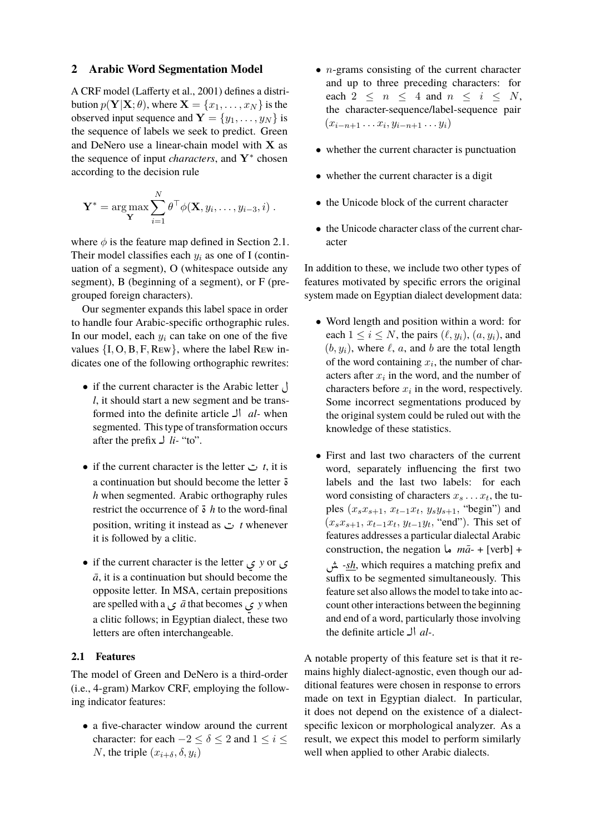## **2 Arabic Word Segmentation Model**

A CRF model (Lafferty et al., 2001) defines a distribution  $p(Y|X; \theta)$ , where  $X = \{x_1, \dots, x_N\}$  is the observed input sequence and  $Y = \{y_1, \ldots, y_N\}$  is the sequence of labels we seek to predict. Green and DeNero use a linear-chain model with X as the sequence of input *characters*, and Y<sup>∗</sup> chosen according to the decision rule

$$
\mathbf{Y}^* = \arg \max_{\mathbf{Y}} \sum_{i=1}^N \theta^{\top} \phi(\mathbf{X}, y_i, \dots, y_{i-3}, i) .
$$

where  $\phi$  is the feature map defined in Section 2.1. Their model classifies each  $y_i$  as one of I (continuation of a segment), O (whitespace outside any segment), B (beginning of a segment), or F (pregrouped foreign characters).

Our segmenter expands this label space in order to handle four Arabic-specific orthographic rules. In our model, each  $y_i$  can take on one of the five values  $\{I, O, B, F, Rew\}$ , where the label Rew indicates one of the following orthographic rewrites:

- if the current character is the Arabic letter  $\bigcup$ *l*, it should start a new segment and be transformed into the definite article **J** *al-* when segmented. This type of transformation occurs after the prefix  $\bigcup$  *li*- "to".
- if the current character is the letter  $\sigma$  *t*, it is a continuation but should become the letter :<br>ö *h* when segmented. Arabic orthography rules<br>restrict the occurrence of  $\ddot{\delta}$  *h* to the word-final restrict the occurrence of  $\ddot{\textbf{s}}$  *h* to the word-final restrict the occurrence of  $\delta$  *n* to the word-final<br>position, writing it instead as  $\sigma$  *t* whenever it is followed by a clitic.
- if the current character is the letter ø *<sup>y</sup>* or ø  $\bar{a}$ , it is a continuation but should become the opposite letter. In MSA, certain prepositions are spelled with a ø *a¯* that becomes ø *y* when a clitic follows; in Egyptian dialect, these two letters are often interchangeable.

### **2.1 Features**

The model of Green and DeNero is a third-order (i.e., 4-gram) Markov CRF, employing the following indicator features:

• a five-character window around the current character: for each  $-2 \le \delta \le 2$  and  $1 \le i \le$ N, the triple  $(x_{i+\delta}, \delta, y_i)$ 

- $\bullet$  *n*-grams consisting of the current character and up to three preceding characters: for each  $2 \leq n \leq 4$  and  $n \leq i \leq N$ , the character-sequence/label-sequence pair  $(x_{i-n+1} \ldots x_i, y_{i-n+1} \ldots y_i)$
- whether the current character is punctuation
- whether the current character is a digit
- the Unicode block of the current character
- the Unicode character class of the current character

In addition to these, we include two other types of features motivated by specific errors the original system made on Egyptian dialect development data:

- Word length and position within a word: for each  $1 \le i \le N$ , the pairs  $(\ell, y_i)$ ,  $(a, y_i)$ , and  $(b, y_i)$ , where  $\ell$ , a, and b are the total length of the word containing  $x_i$ , the number of characters after  $x_i$  in the word, and the number of characters before  $x_i$  in the word, respectively. Some incorrect segmentations produced by the original system could be ruled out with the knowledge of these statistics.
- First and last two characters of the current word, separately influencing the first two labels and the last two labels: for each word consisting of characters  $x_s \dots x_t$ , the tuples  $(x_s x_{s+1}, x_{t-1} x_t, y_s y_{s+1},$  "begin") and  $(x_s x_{s+1}, x_{t-1} x_t, y_{t-1} y_t, "end")$ . This set of features addresses a particular dialectal Arabic construction, the negation  $\omega$   $m\bar{a}$  + [verb] + *-sh*, which requires a matching prefix and suffix to be segmented simultaneously. This feature set also allows the model to take into account other interactions between the beginning and end of a word, particularly those involving the definite article  $\Box$  *al-*.

A notable property of this feature set is that it remains highly dialect-agnostic, even though our additional features were chosen in response to errors made on text in Egyptian dialect. In particular, it does not depend on the existence of a dialectspecific lexicon or morphological analyzer. As a result, we expect this model to perform similarly well when applied to other Arabic dialects.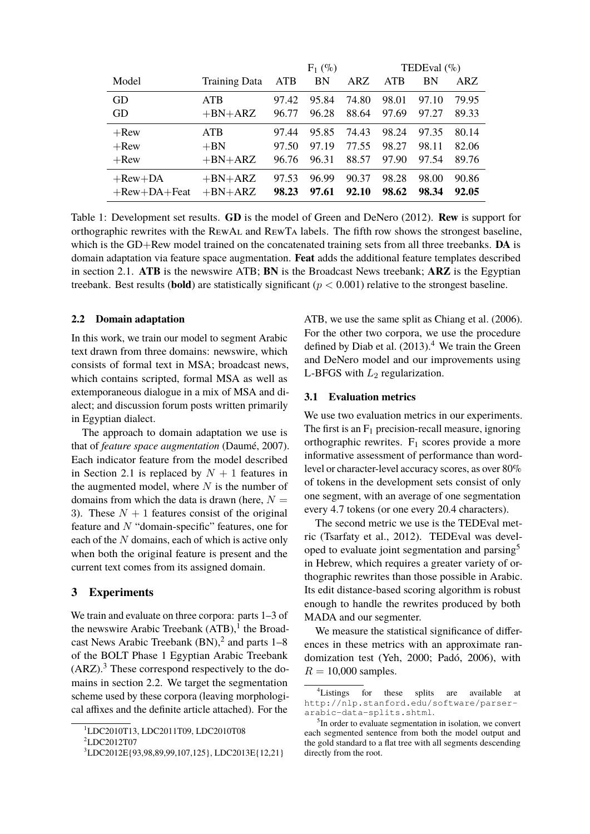|                         |                      | $F_1$ (%) |       | TEDEval $(\%)$ |       |       |       |
|-------------------------|----------------------|-----------|-------|----------------|-------|-------|-------|
| Model                   | <b>Training Data</b> | ATB       | BN    | ARZ            | ATB   | BN    | ARZ   |
| GD                      | <b>ATB</b>           | 97.42     | 95.84 | 74.80          | 98.01 | 97.10 | 79.95 |
| GD                      | $+BN+ARZ$            | 96.77     | 96.28 | 88.64          | 97.69 | 97.27 | 89.33 |
| $+$ Rew                 | <b>ATB</b>           | 97.44     | 95.85 | 74.43          | 98.24 | 97.35 | 80.14 |
| $+$ Rew                 | $+BN$                | 97.50     | 97.19 | 77.55          | 98.27 | 98.11 | 82.06 |
| $+$ Rew                 | $+BN+ARZ$            | 96.76     | 96.31 | 88.57          | 97.90 | 97.54 | 89.76 |
| $+$ Rew $+$ DA          | $+BN+ARZ$            | 97.53     | 96.99 | 90.37          | 98.28 | 98.00 | 90.86 |
| $+$ Rew $+$ DA $+$ Feat | $+BN+ARZ$            | 98.23     | 97.61 | 92.10          | 98.62 | 98.34 | 92.05 |

Table 1: Development set results. **GD** is the model of Green and DeNero (2012). **Rew** is support for orthographic rewrites with the RewAl and RewTa labels. The fifth row shows the strongest baseline, which is the GD+Rew model trained on the concatenated training sets from all three treebanks. **DA** is domain adaptation via feature space augmentation. **Feat** adds the additional feature templates described in section 2.1. **ATB** is the newswire ATB; **BN** is the Broadcast News treebank; **ARZ** is the Egyptian treebank. Best results (**bold**) are statistically significant ( $p < 0.001$ ) relative to the strongest baseline.

# **2.2 Domain adaptation**

In this work, we train our model to segment Arabic text drawn from three domains: newswire, which consists of formal text in MSA; broadcast news, which contains scripted, formal MSA as well as extemporaneous dialogue in a mix of MSA and dialect; and discussion forum posts written primarily in Egyptian dialect.

The approach to domain adaptation we use is that of *feature space augmentation* (Daumé, 2007). Each indicator feature from the model described in Section 2.1 is replaced by  $N + 1$  features in the augmented model, where  $N$  is the number of domains from which the data is drawn (here,  $N =$ 3). These  $N + 1$  features consist of the original feature and N "domain-specific" features, one for each of the N domains, each of which is active only when both the original feature is present and the current text comes from its assigned domain.

## **3 Experiments**

We train and evaluate on three corpora: parts 1–3 of the newswire Arabic Treebank  $\overline{(ATB)}$ , the Broadcast News Arabic Treebank  $(BN)$ , <sup>2</sup> and parts  $1-8$ of the BOLT Phase 1 Egyptian Arabic Treebank  $(ARZ)$ .<sup>3</sup> These correspond respectively to the domains in section 2.2. We target the segmentation scheme used by these corpora (leaving morphological affixes and the definite article attached). For the

ATB, we use the same split as Chiang et al. (2006). For the other two corpora, we use the procedure defined by Diab et al.  $(2013).<sup>4</sup>$  We train the Green and DeNero model and our improvements using L-BFGS with  $L_2$  regularization.

#### **3.1 Evaluation metrics**

We use two evaluation metrics in our experiments. The first is an  $F_1$  precision-recall measure, ignoring orthographic rewrites.  $F_1$  scores provide a more informative assessment of performance than wordlevel or character-level accuracy scores, as over 80% of tokens in the development sets consist of only one segment, with an average of one segmentation every 4.7 tokens (or one every 20.4 characters).

The second metric we use is the TEDEval metric (Tsarfaty et al., 2012). TEDEval was developed to evaluate joint segmentation and parsing<sup>5</sup> in Hebrew, which requires a greater variety of orthographic rewrites than those possible in Arabic. Its edit distance-based scoring algorithm is robust enough to handle the rewrites produced by both MADA and our segmenter.

We measure the statistical significance of differences in these metrics with an approximate randomization test (Yeh, 2000; Padó, 2006), with  $R = 10,000$  samples.

<sup>1</sup>LDC2010T13, LDC2011T09, LDC2010T08

<sup>&</sup>lt;sup>2</sup>LDC2012T07

<sup>3</sup>LDC2012E{93,98,89,99,107,125}, LDC2013E{12,21}

<sup>&</sup>lt;sup>4</sup>Listings for these splits are available at http://nlp.stanford.edu/software/parserarabic-data-splits.shtml.

<sup>&</sup>lt;sup>5</sup>In order to evaluate segmentation in isolation, we convert each segmented sentence from both the model output and the gold standard to a flat tree with all segments descending directly from the root.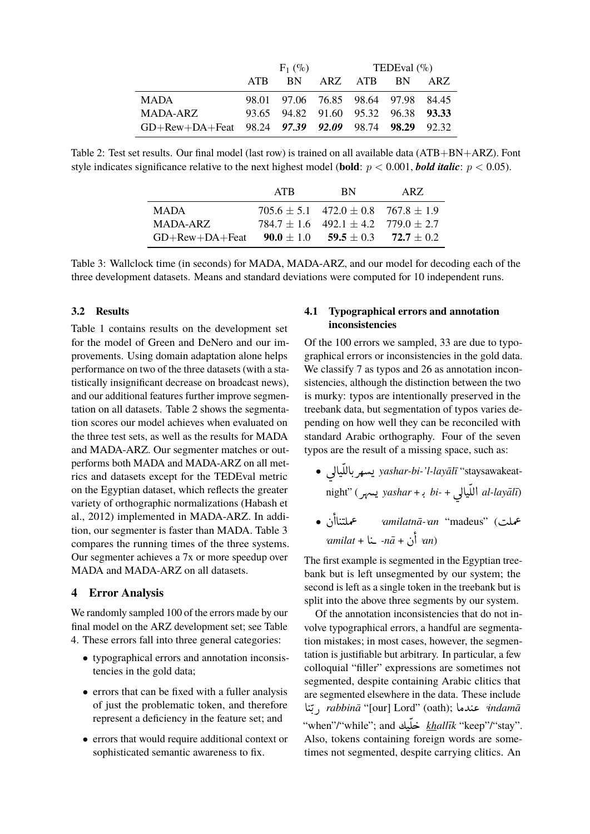|                                                                | $F_1$ (%) |                                     |  | TEDEval $(\% )$ |  |      |
|----------------------------------------------------------------|-----------|-------------------------------------|--|-----------------|--|------|
|                                                                | ATR       | <b>BN</b>                           |  | ARZ ATB BN      |  | ARZ. |
| <b>MADA</b>                                                    |           | 98.01 97.06 76.85 98.64 97.98 84.45 |  |                 |  |      |
| MADA-ARZ                                                       |           | 93.65 94.82 91.60 95.32 96.38 93.33 |  |                 |  |      |
| GD+Rew+DA+Feat $98.24$ $97.39$ $92.09$ $98.74$ $98.29$ $92.32$ |           |                                     |  |                 |  |      |

Table 2: Test set results. Our final model (last row) is trained on all available data (ATB+BN+ARZ). Font style indicates significance relative to the next highest model (**bold**:  $p < 0.001$ , *bold italic*:  $p < 0.05$ ).

|                       | ATR | <b>BN</b>                                       | ARZ. |
|-----------------------|-----|-------------------------------------------------|------|
| <b>MADA</b>           |     | $705.6 \pm 5.1$ $472.0 \pm 0.8$ $767.8 \pm 1.9$ |      |
| MADA-ARZ              |     | $784.7 \pm 1.6$ $492.1 \pm 4.2$ $779.0 \pm 2.7$ |      |
| $GD+$ Rew $+DA+$ Feat |     | $90.0 \pm 1.0$ $59.5 \pm 0.3$ $72.7 \pm 0.2$    |      |

Table 3: Wallclock time (in seconds) for MADA, MADA-ARZ, and our model for decoding each of the three development datasets. Means and standard deviations were computed for 10 independent runs.

## **3.2 Results**

Table 1 contains results on the development set for the model of Green and DeNero and our improvements. Using domain adaptation alone helps performance on two of the three datasets (with a statistically insignificant decrease on broadcast news), and our additional features further improve segmentation on all datasets. Table 2 shows the segmentation scores our model achieves when evaluated on the three test sets, as well as the results for MADA and MADA-ARZ. Our segmenter matches or outperforms both MADA and MADA-ARZ on all metrics and datasets except for the TEDEval metric on the Egyptian dataset, which reflects the greater variety of orthographic normalizations (Habash et al., 2012) implemented in MADA-ARZ. In addition, our segmenter is faster than MADA. Table 3 compares the running times of the three systems. Our segmenter achieves a 7x or more speedup over MADA and MADA-ARZ on all datasets.

## **4 Error Analysis**

We randomly sampled 100 of the errors made by our final model on the ARZ development set; see Table 4. These errors fall into three general categories:

- typographical errors and annotation inconsistencies in the gold data;
- errors that can be fixed with a fuller analysis of just the problematic token, and therefore represent a deficiency in the feature set; and
- errors that would require additional context or sophisticated semantic awareness to fix.

# **4.1 Typographical errors and annotation inconsistencies**

Of the 100 errors we sampled, 33 are due to typographical errors or inconsistencies in the gold data. We classify 7 as typos and 26 as annotation inconsistencies, although the distinction between the two is murky: typos are intentionally preserved in the treebank data, but segmentation of typos varies depending on how well they can be reconciled with standard Arabic orthography. Four of the seven typos are the result of a missing space, such as: .<br>.

- ú ÍAJ ÊËAK Qê *yashar-bi-'l-layal¯ ¯ı* "staysawakeat- $\overline{\phantom{a}}$  night" (QîD *yashar* <sup>+</sup> K . *bi-* <sup>+</sup> ú ÍAJ ÊË@ *al-layal¯ ¯ı*)  $\cdot$ .  $\overline{\phantom{0}}$ ֦֧֦֦֦֦֦֦֦֦֦֦֦֦֦֧֦֦֦֧֦֧֜֜֜֜֜֜֜֜֜ ์<br>e<br>S
- عملت) ''madeus' (عملتناأن •<br>عملت) ''madeus  $\overline{a}$ J  $\overline{a}$ ,*amilat* <sup>+</sup> A J *-na¯* <sup>+</sup> à @ -*an*)  $\overline{a}$ .<br>.  $\frac{1}{2}$

The first example is segmented in the Egyptian treebank but is left unsegmented by our system; the second is left as a single token in the treebank but is split into the above three segments by our system.

Of the annotation inconsistencies that do not involve typographical errors, a handful are segmentation mistakes; in most cases, however, the segmentation is justifiable but arbitrary. In particular, a few colloquial "filler" expressions are sometimes not segmented, despite containing Arabic clitics that are segmented elsewhere in the data. These include ،<br>ا i<br>. .<br>ن ľ, .<br>ت . e segmented elsewhere in the data. These include<br>*j rabbinā* "[our] Lord" (oath); **a** a*damā* ...<br>"when"/"while"; and خلّيك khallīk "keep"/"stay".  $\ddot{\cdot}$ ์<br>. Ê j Also, tokens containing foreign words are sometimes not segmented, despite carrying clitics. An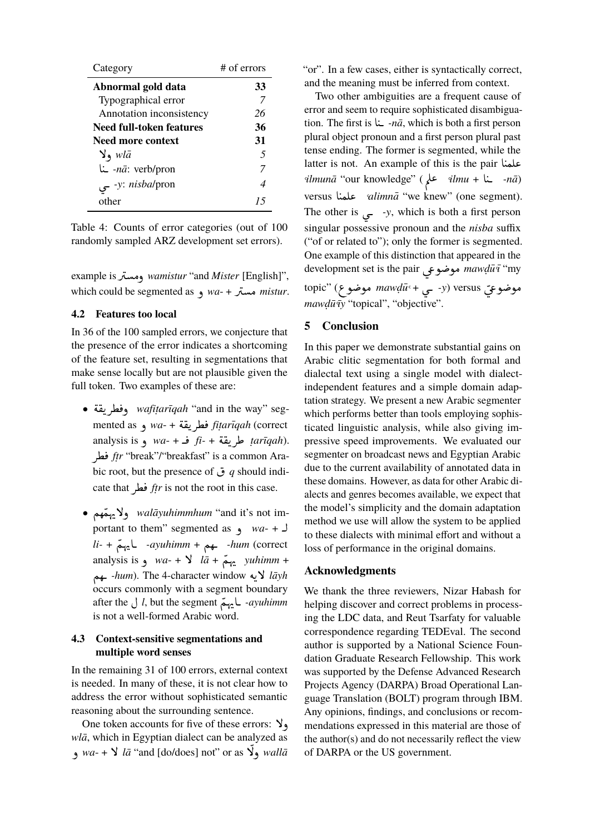| Category                   | $#$ of errors |
|----------------------------|---------------|
| Abnormal gold data         | 33            |
| Typographical error        |               |
| Annotation inconsistency   | 26            |
| Need full-token features   | 36            |
| Need more context          | 31            |
| $\vee$ , wlā               | 5             |
| <i>nā</i> : verb/pron- ينا | 7             |
| -y: <i>nisbal</i> pron     | 4             |
| other                      | 15            |

Table 4: Counts of error categories (out of 100 randomly sampled ARZ development set errors).

example isQ Óð *wamistur* "and *Mister* [English]", l. , which could be segmented as ه *wa-* + بر which could be segmented as l.

# **4.2 Features too local**

In 36 of the 100 sampled errors, we conjecture that the presence of the error indicates a shortcoming of the feature set, resulting in segmentations that make sense locally but are not plausible given the full token. Two examples of these are:

- é ®K Q¢ ¯ð *wafit .ar¯ıqah* "and in the way" seg- $\overline{a}$ l. <u>ر</u> wafitarıqah "and in the way" seg<br>mented as مطريقة + -wa و mented as  $\overline{\phantom{a}}$ h<br>.. <u>ر</u> analysis is *ف+ -wa*- و analysis is **j** *wa*- + t.  $\frac{u}{u}$ <u>بہ</u> .*tarıqah) طريعه + -ti فـ + -wa و analysis is*<br>*ftr* "break"/"breakfast" is a common Aratr "break"/"breaktast" is a common Ara-<br>• ق g should indi- و hic root, but the presence of bic root, but the presence of  $\sigma$  a should in cate that *.*  $ftr$  is not the root in this case.
- Ñê ÒîE Bð *walayuhimmhum ¯* "and it's not im-ِ<br>س portant to them" segmented as  $\theta$  *wa*- +  $\theta$ ر<br>*li-* + شوم + *-ayuhimm*- عليهم + *hum* (correct <u>ิ</u><br>ม analysis is  $ya + 9 = wa + b$  *la<sup>timm</sup>* + ِ<br>س م<br>*lāyh لا*يه *-hum*). The 4-character window في *lāyh* ر<br>پ occurs commonly with a segment boundary occurs commonly with a segment boundary<br>after the *J l*, but the segment L -ayuhimm is not a well-formed Arabic word.

# **4.3 Context-sensitive segmentations and multiple word senses**

In the remaining 31 of 100 errors, external context is needed. In many of these, it is not clear how to address the error without sophisticated semantic reasoning about the surrounding sentence.

One token accounts for five of these errors:  $\lambda$ , *wlā*, which in Egyptian dialect can be analyzed as dia, which in Egyptian analogy can be analyzed as<br>walla $\vec{a}$ , wa- +  $\vec{b}$  la<sup>o</sup> "and [do/does] not" or as  $\vec{b}$ , walla į

"or". In a few cases, either is syntactically correct, and the meaning must be inferred from context.

Two other ambiguities are a frequent cause of error and seem to require sophisticated disambiguation. The first is  $\frac{1}{4}$  *-nā*, which is both a first person  $\overline{a}$ plural object pronoun and a first person plural past tense ending. The former is segmented, while the latter is not. An example of this is the pair like  $\overline{a}$ ilmunā "our knowledge" (محمد *ilmunā* محمد *ilmunā* "our knowledge" (محمد *ilmu* + L ֚֚֡֡֡֝֬<br>֧֚֚֝<br>֚֚֝ versus A JÒÊ« ,*alimna¯* "we knew" (one segment). ֦ The other is  $\rightarrow$  *y*, which is both a first person į singular possessive pronoun and the *nisba* suffix ("of or related to"); only the former is segmented. One example of this distinction that appeared in the One example of this distinction that appeared in the<br>development set is the pair موضوعی *mawḍū̄*ī "my  $\overline{\phantom{0}}$ topic" (د - چ + mawdū موضوعي mawdū موضوعي<br>موضوعيّ versus (<del>د</del> - چ + mawdū موضوع) į *mawdū* $\overline{\tau}$ *y* "topical", "objective".  $\frac{1}{1}$ 

# **5 Conclusion**

In this paper we demonstrate substantial gains on Arabic clitic segmentation for both formal and dialectal text using a single model with dialectindependent features and a simple domain adaptation strategy. We present a new Arabic segmenter which performs better than tools employing sophisticated linguistic analysis, while also giving impressive speed improvements. We evaluated our segmenter on broadcast news and Egyptian Arabic due to the current availability of annotated data in these domains. However, as data for other Arabic dialects and genres becomes available, we expect that the model's simplicity and the domain adaptation method we use will allow the system to be applied to these dialects with minimal effort and without a loss of performance in the original domains.

#### **Acknowledgments**

We thank the three reviewers, Nizar Habash for helping discover and correct problems in processing the LDC data, and Reut Tsarfaty for valuable correspondence regarding TEDEval. The second author is supported by a National Science Foundation Graduate Research Fellowship. This work was supported by the Defense Advanced Research Projects Agency (DARPA) Broad Operational Language Translation (BOLT) program through IBM. Any opinions, findings, and conclusions or recommendations expressed in this material are those of the author(s) and do not necessarily reflect the view of DARPA or the US government.